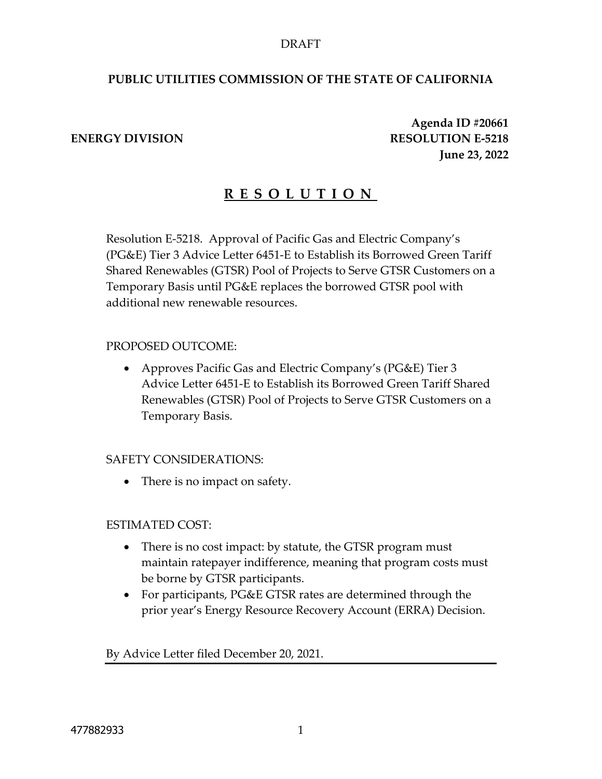## DRAFT

## **PUBLIC UTILITIES COMMISSION OF THE STATE OF CALIFORNIA**

**Agenda ID #20661 ENERGY DIVISION RESOLUTION E-5218 June 23, 2022**

# **R E S O L U T I O N**

Resolution E-5218. Approval of Pacific Gas and Electric Company's (PG&E) Tier 3 Advice Letter 6451-E to Establish its Borrowed Green Tariff Shared Renewables (GTSR) Pool of Projects to Serve GTSR Customers on a Temporary Basis until PG&E replaces the borrowed GTSR pool with additional new renewable resources.

## PROPOSED OUTCOME:

 Approves Pacific Gas and Electric Company's (PG&E) Tier 3 Advice Letter 6451-E to Establish its Borrowed Green Tariff Shared Renewables (GTSR) Pool of Projects to Serve GTSR Customers on a Temporary Basis.

## SAFETY CONSIDERATIONS:

• There is no impact on safety.

## ESTIMATED COST:

- There is no cost impact: by statute, the GTSR program must maintain ratepayer indifference, meaning that program costs must be borne by GTSR participants.
- For participants, PG&E GTSR rates are determined through the prior year's Energy Resource Recovery Account (ERRA) Decision.

By Advice Letter filed December 20, 2021.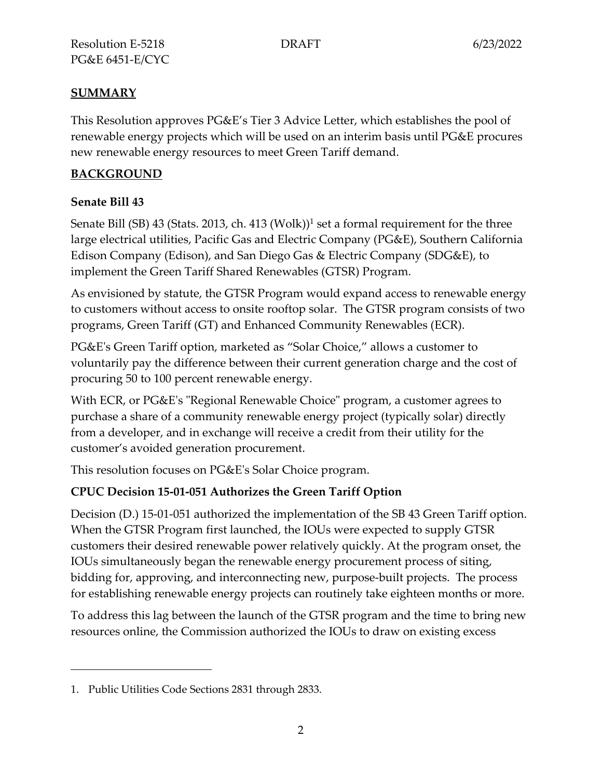# **SUMMARY**

This Resolution approves PG&E's Tier 3 Advice Letter, which establishes the pool of renewable energy projects which will be used on an interim basis until PG&E procures new renewable energy resources to meet Green Tariff demand.

# **BACKGROUND**

# **Senate Bill 43**

Senate Bill (SB) 43 (Stats. 2013, ch. 413 (Wolk))<sup>1</sup> set a formal requirement for the three large electrical utilities, Pacific Gas and Electric Company (PG&E), Southern California Edison Company (Edison), and San Diego Gas & Electric Company (SDG&E), to implement the Green Tariff Shared Renewables (GTSR) Program.

As envisioned by statute, the GTSR Program would expand access to renewable energy to customers without access to onsite rooftop solar. The GTSR program consists of two programs, Green Tariff (GT) and Enhanced Community Renewables (ECR).

PG&E's Green Tariff option, marketed as "Solar Choice," allows a customer to voluntarily pay the difference between their current generation charge and the cost of procuring 50 to 100 percent renewable energy.

With ECR, or PG&E's "Regional Renewable Choice" program, a customer agrees to purchase a share of a community renewable energy project (typically solar) directly from a developer, and in exchange will receive a credit from their utility for the customer's avoided generation procurement.

This resolution focuses on PG&E's Solar Choice program.

# **CPUC Decision 15-01-051 Authorizes the Green Tariff Option**

Decision (D.) 15-01-051 authorized the implementation of the SB 43 Green Tariff option. When the GTSR Program first launched, the IOUs were expected to supply GTSR customers their desired renewable power relatively quickly. At the program onset, the IOUs simultaneously began the renewable energy procurement process of siting, bidding for, approving, and interconnecting new, purpose-built projects. The process for establishing renewable energy projects can routinely take eighteen months or more.

To address this lag between the launch of the GTSR program and the time to bring new resources online, the Commission authorized the IOUs to draw on existing excess

<sup>1.</sup> Public Utilities Code Sections 2831 through 2833.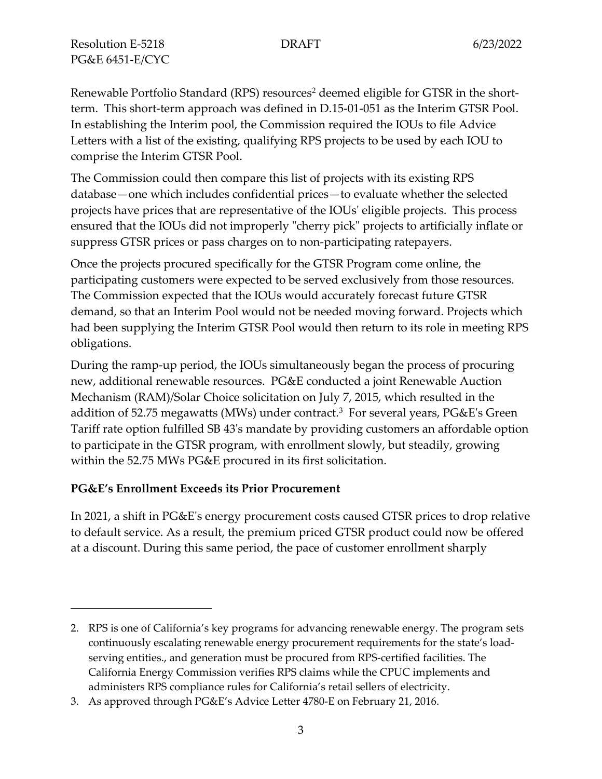Resolution E-5218 **DRAFT** 6/23/2022 PG&E 6451-E/CYC

Renewable Portfolio Standard (RPS) resources<sup>2</sup> deemed eligible for GTSR in the shortterm. This short-term approach was defined in D.15-01-051 as the Interim GTSR Pool. In establishing the Interim pool, the Commission required the IOUs to file Advice Letters with a list of the existing, qualifying RPS projects to be used by each IOU to comprise the Interim GTSR Pool.

The Commission could then compare this list of projects with its existing RPS database—one which includes confidential prices—to evaluate whether the selected projects have prices that are representative of the IOUs' eligible projects. This process ensured that the IOUs did not improperly "cherry pick" projects to artificially inflate or suppress GTSR prices or pass charges on to non-participating ratepayers.

Once the projects procured specifically for the GTSR Program come online, the participating customers were expected to be served exclusively from those resources. The Commission expected that the IOUs would accurately forecast future GTSR demand, so that an Interim Pool would not be needed moving forward. Projects which had been supplying the Interim GTSR Pool would then return to its role in meeting RPS obligations.

During the ramp-up period, the IOUs simultaneously began the process of procuring new, additional renewable resources. PG&E conducted a joint Renewable Auction Mechanism (RAM)/Solar Choice solicitation on July 7, 2015, which resulted in the addition of 52.75 megawatts (MWs) under contract.<sup>3</sup> For several years, PG&E's Green Tariff rate option fulfilled SB 43's mandate by providing customers an affordable option to participate in the GTSR program, with enrollment slowly, but steadily, growing within the 52.75 MWs PG&E procured in its first solicitation.

## **PG&E's Enrollment Exceeds its Prior Procurement**

In 2021, a shift in PG&E's energy procurement costs caused GTSR prices to drop relative to default service. As a result, the premium priced GTSR product could now be offered at a discount. During this same period, the pace of customer enrollment sharply

<sup>2.</sup> RPS is one of California's key programs for advancing renewable energy. The program sets continuously escalating renewable energy procurement requirements for the state's loadserving entities., and generation must be procured from RPS-certified facilities. The California Energy Commission verifies RPS claims while the CPUC implements and administers RPS compliance rules for California's retail sellers of electricity.

<sup>3.</sup> As approved through PG&E's Advice Letter 4780-E on February 21, 2016.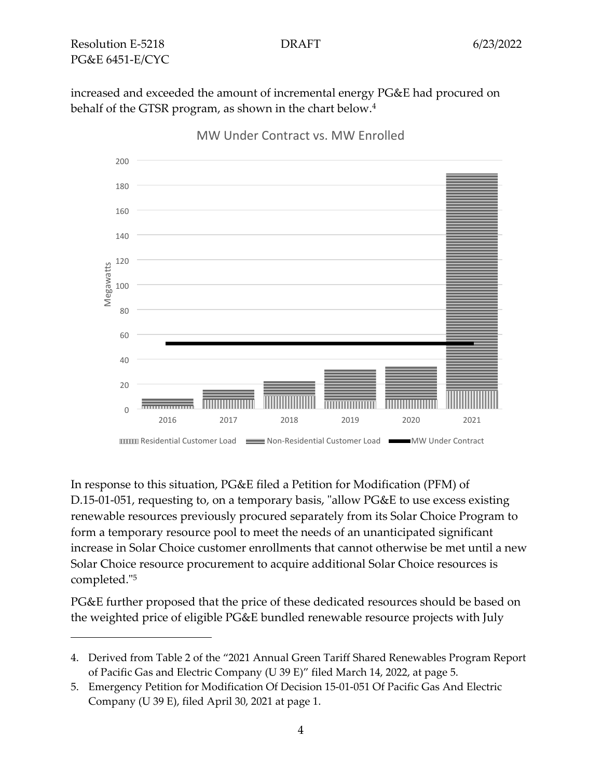increased and exceeded the amount of incremental energy PG&E had procured on behalf of the GTSR program, as shown in the chart below.<sup>4</sup>



MW Under Contract vs. MW Enrolled

In response to this situation, PG&E filed a Petition for Modification (PFM) of D.15-01-051, requesting to, on a temporary basis, "allow PG&E to use excess existing renewable resources previously procured separately from its Solar Choice Program to form a temporary resource pool to meet the needs of an unanticipated significant increase in Solar Choice customer enrollments that cannot otherwise be met until a new Solar Choice resource procurement to acquire additional Solar Choice resources is completed."<sup>5</sup>

PG&E further proposed that the price of these dedicated resources should be based on the weighted price of eligible PG&E bundled renewable resource projects with July

<sup>4.</sup> Derived from Table 2 of the "2021 Annual Green Tariff Shared Renewables Program Report of Pacific Gas and Electric Company (U 39 E)" filed March 14, 2022, at page 5.

<sup>5.</sup> Emergency Petition for Modification Of Decision 15-01-051 Of Pacific Gas And Electric Company (U 39 E), filed April 30, 2021 at page 1.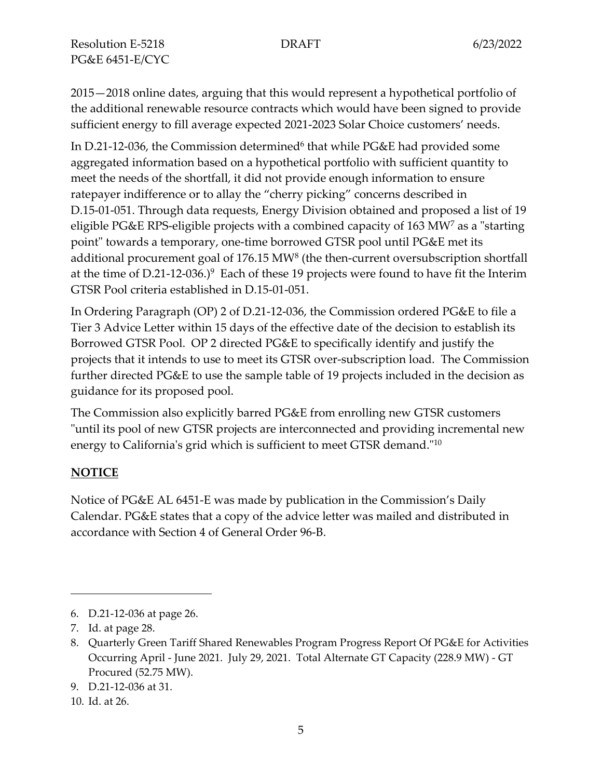Resolution E-5218 **DRAFT** 6/23/2022 PG&E 6451-E/CYC

2015—2018 online dates, arguing that this would represent a hypothetical portfolio of the additional renewable resource contracts which would have been signed to provide sufficient energy to fill average expected 2021-2023 Solar Choice customers' needs.

In D.21-12-036, the Commission determined<sup>6</sup> that while PG&E had provided some aggregated information based on a hypothetical portfolio with sufficient quantity to meet the needs of the shortfall, it did not provide enough information to ensure ratepayer indifference or to allay the "cherry picking" concerns described in D.15-01-051. Through data requests, Energy Division obtained and proposed a list of 19 eligible PG&E RPS-eligible projects with a combined capacity of 163 MW<sup>7</sup> as a "starting point" towards a temporary, one-time borrowed GTSR pool until PG&E met its additional procurement goal of  $176.15 \text{ MW}^8$  (the then-current oversubscription shortfall at the time of D.21-12-036.) $9$  Each of these 19 projects were found to have fit the Interim GTSR Pool criteria established in D.15-01-051.

In Ordering Paragraph (OP) 2 of D.21-12-036, the Commission ordered PG&E to file a Tier 3 Advice Letter within 15 days of the effective date of the decision to establish its Borrowed GTSR Pool. OP 2 directed PG&E to specifically identify and justify the projects that it intends to use to meet its GTSR over-subscription load. The Commission further directed PG&E to use the sample table of 19 projects included in the decision as guidance for its proposed pool.

The Commission also explicitly barred PG&E from enrolling new GTSR customers "until its pool of new GTSR projects are interconnected and providing incremental new energy to California's grid which is sufficient to meet GTSR demand."<sup>10</sup>

## **NOTICE**

Notice of PG&E AL 6451-E was made by publication in the Commission's Daily Calendar. PG&E states that a copy of the advice letter was mailed and distributed in accordance with Section 4 of General Order 96-B.

<sup>6.</sup> D.21-12-036 at page 26.

<sup>7.</sup> Id. at page 28.

<sup>8.</sup> Quarterly Green Tariff Shared Renewables Program Progress Report Of PG&E for Activities Occurring April - June 2021. July 29, 2021. Total Alternate GT Capacity (228.9 MW) - GT Procured (52.75 MW).

<sup>9.</sup> D.21-12-036 at 31.

<sup>10.</sup> Id. at 26.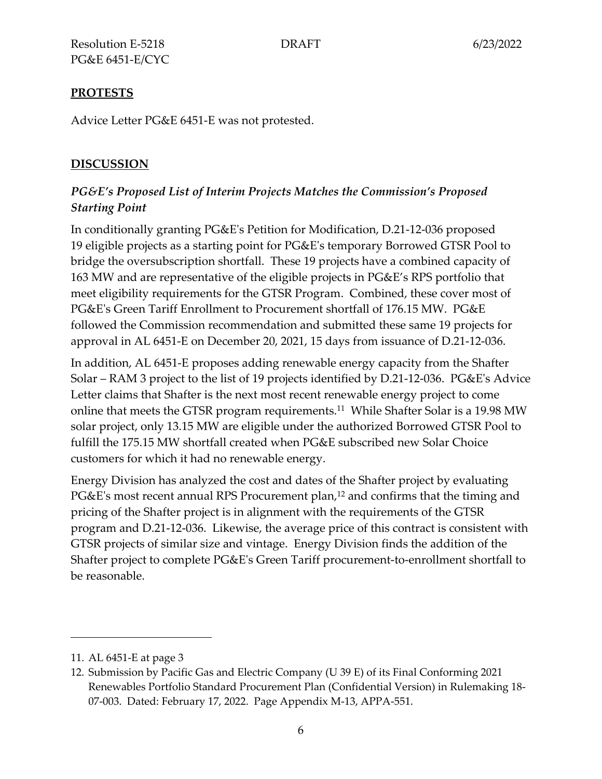# **PROTESTS**

Advice Letter PG&E 6451-E was not protested.

# **DISCUSSION**

# *PG&E's Proposed List of Interim Projects Matches the Commission's Proposed Starting Point*

In conditionally granting PG&E's Petition for Modification, D.21-12-036 proposed 19 eligible projects as a starting point for PG&E's temporary Borrowed GTSR Pool to bridge the oversubscription shortfall. These 19 projects have a combined capacity of 163 MW and are representative of the eligible projects in PG&E's RPS portfolio that meet eligibility requirements for the GTSR Program. Combined, these cover most of PG&E's Green Tariff Enrollment to Procurement shortfall of 176.15 MW. PG&E followed the Commission recommendation and submitted these same 19 projects for approval in AL 6451-E on December 20, 2021, 15 days from issuance of D.21-12-036.

In addition, AL 6451-E proposes adding renewable energy capacity from the Shafter Solar – RAM 3 project to the list of 19 projects identified by D.21-12-036. PG&E's Advice Letter claims that Shafter is the next most recent renewable energy project to come online that meets the GTSR program requirements.<sup>11</sup> While Shafter Solar is a 19.98 MW solar project, only 13.15 MW are eligible under the authorized Borrowed GTSR Pool to fulfill the 175.15 MW shortfall created when PG&E subscribed new Solar Choice customers for which it had no renewable energy.

Energy Division has analyzed the cost and dates of the Shafter project by evaluating PG&E's most recent annual RPS Procurement plan,<sup>12</sup> and confirms that the timing and pricing of the Shafter project is in alignment with the requirements of the GTSR program and D.21-12-036. Likewise, the average price of this contract is consistent with GTSR projects of similar size and vintage. Energy Division finds the addition of the Shafter project to complete PG&E's Green Tariff procurement-to-enrollment shortfall to be reasonable.

<sup>11.</sup> AL 6451-E at page 3

<sup>12.</sup> Submission by Pacific Gas and Electric Company (U 39 E) of its Final Conforming 2021 Renewables Portfolio Standard Procurement Plan (Confidential Version) in Rulemaking 18- 07-003. Dated: February 17, 2022. Page Appendix M-13, APPA-551.